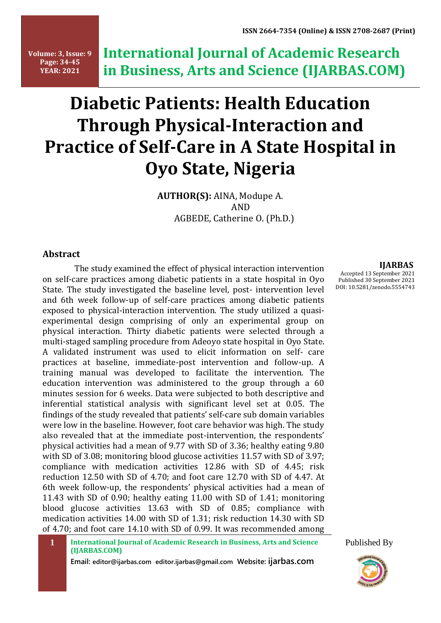**Volume: 3, Issue: 9 Page: 34-45 YEAR: 2021**

**International Journal of Academic Research in Business, Arts and Science (IJARBAS.COM)**

# **Diabetic Patients: Health Education Through Physical-Interaction and Practice of Self-Care in A State Hospital in Oyo State, Nigeria**

 **AUTHOR(S):** AINA, Modupe A. AND AGBEDE, Catherine O. (Ph.D.)

### **Abstract**

The study examined the effect of physical interaction intervention on self-care practices among diabetic patients in a state hospital in Oyo State. The study investigated the baseline level, post- intervention level and 6th week follow-up of self-care practices among diabetic patients exposed to physical-interaction intervention. The study utilized a quasiexperimental design comprising of only an experimental group on physical interaction. Thirty diabetic patients were selected through a multi-staged sampling procedure from Adeoyo state hospital in Oyo State. A validated instrument was used to elicit information on self- care practices at baseline, immediate-post intervention and follow-up. A training manual was developed to facilitate the intervention. The education intervention was administered to the group through a 60 minutes session for 6 weeks. Data were subjected to both descriptive and inferential statistical analysis with significant level set at 0.05. The findings of the study revealed that patients' self-care sub domain variables were low in the baseline. However, foot care behavior was high. The study also revealed that at the immediate post-intervention, the respondents' physical activities had a mean of 9.77 with SD of 3.36; healthy eating 9.80 with SD of 3.08; monitoring blood glucose activities 11.57 with SD of 3.97; compliance with medication activities 12.86 with SD of 4.45; risk reduction 12.50 with SD of 4.70; and foot care 12.70 with SD of 4.47. At 6th week follow-up, the respondents' physical activities had a mean of 11.43 with SD of 0.90; healthy eating 11.00 with SD of 1.41; monitoring blood glucose activities 13.63 with SD of 0.85; compliance with medication activities 14.00 with SD of 1.31; risk reduction 14.30 with SD of 4.70; and foot care 14.10 with SD of 0.99. It was recommended among

**Email: editor@ijarbas.com editor.ijarbas@gmail.com Website: ijarbas.com** 

#### **IJARBAS**

Accepted 13 September 2021 Published 30 September 2021 DOI: 10.5281/zenodo.5554743



**<sup>1</sup> International Journal of Academic Research in Business, Arts and Science (IJARBAS.COM)**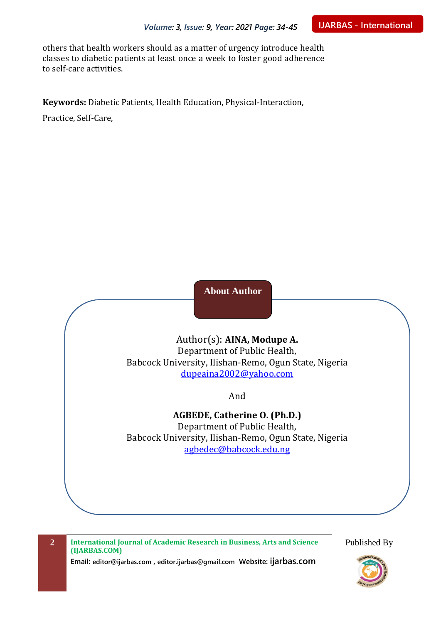others that health workers should as a matter of urgency introduce health classes to diabetic patients at least once a week to foster good adherence to self-care activities.

**Keywords:** Diabetic Patients, Health Education, Physical-Interaction,

Practice, Self-Care,

**About Author**

Author(s): **AINA, Modupe A.** Department of Public Health, Babcock University, Ilishan-Remo, Ogun State, Nigeria [dupeaina2002@yahoo.com](mailto:dupeaina2002@yahoo.com)

And

**AGBEDE, Catherine O. (Ph.D.)**

Department of Public Health, Babcock University, Ilishan-Remo, Ogun State, Nigeria [agbedec@babcock.edu.ng](mailto:dupeaina2002@yahoo.com)

**2 International Journal of Academic Research in Business, Arts and Science (IJARBAS.COM)**

**Email: editor@ijarbas.com , editor.ijarbas@gmail.com Website: ijarbas.com**

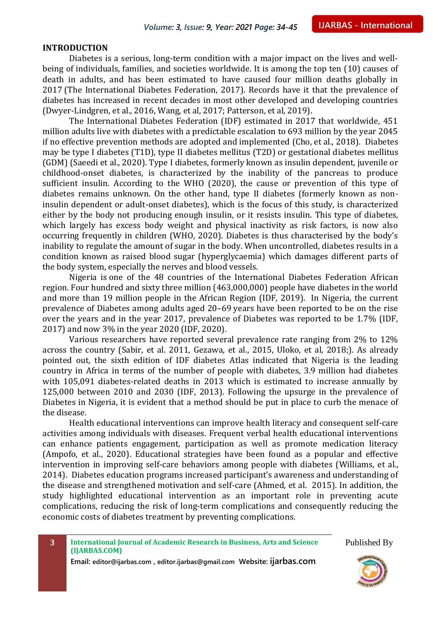#### **INTRODUCTION**

Diabetes is a serious, long-term condition with a major impact on the lives and wellbeing of individuals, families, and societies worldwide. It is among the top ten (10) causes of death in adults, and has been estimated to have caused four million deaths globally in 2017 (The International Diabetes Federation, 2017). Records have it that the prevalence of diabetes has increased in recent decades in most other developed and developing countries (Dwyer-Lindgren, et al., 2016, Wang, et al, 2017; Patterson, et al, 2019).

The International Diabetes Federation (IDF) estimated in 2017 that worldwide, 451 million adults live with diabetes with a predictable escalation to 693 million by the year 2045 if no effective prevention methods are adopted and implemented (Cho, et al., 2018). Diabetes may be type I diabetes (T1D), type II diabetes mellitus (T2D) or gestational diabetes mellitus (GDM) (Saeedi et al., 2020). Type I diabetes, formerly known as insulin dependent, juvenile or childhood-onset diabetes, is characterized by the inability of the pancreas to produce sufficient insulin. According to the WHO (2020), the cause or prevention of this type of diabetes remains unknown. On the other hand, type II diabetes (formerly known as noninsulin dependent or adult-onset diabetes), which is the focus of this study, is characterized either by the body not producing enough insulin, or it resists insulin. This type of diabetes, which largely has excess body weight and physical inactivity as risk factors, is now also occurring frequently in children (WHO, 2020). Diabetes is thus characterised by the body's inability to regulate the amount of sugar in the body. When uncontrolled, diabetes results in a condition known as raised blood sugar (hyperglycaemia) which damages different parts of the body system, especially the nerves and blood vessels.

Nigeria is one of the 48 countries of the International Diabetes Federation African region. Four hundred and sixty three million (463,000,000) people have diabetes in the world and more than 19 million people in the African Region (IDF, 2019). In Nigeria, the current prevalence of Diabetes among adults aged 20–69 years have been reported to be on the rise over the years and in the year 2017, prevalence of Diabetes was reported to be 1.7% (IDF, 2017) and now 3% in the year 2020 (IDF, 2020).

Various researchers have reported several prevalence rate ranging from 2% to 12% across the country (Sabir, et al. 2011, Gezawa, et al., 2015, Uloko, et al, 2018;). As already pointed out, the sixth edition of IDF diabetes Atlas indicated that Nigeria is the leading country in Africa in terms of the number of people with diabetes, 3.9 million had diabetes with 105,091 diabetes-related deaths in 2013 which is estimated to increase annually by 125,000 between 2010 and 2030 (IDF, 2013). Following the upsurge in the prevalence of Diabetes in Nigeria, it is evident that a method should be put in place to curb the menace of the disease.

Health educational interventions can improve health literacy and consequent self-care activities among individuals with diseases. Frequent verbal health educational interventions can enhance patients engagement, participation as well as promote medication literacy (Ampofo, et al., 2020). Educational strategies have been found as a popular and effective intervention in improving self-care behaviors among people with diabetes (Williams, et al., 2014). Diabetes education programs increased participant's awareness and understanding of the disease and strengthened motivation and self-care (Ahmed, et al. 2015). In addition, the study highlighted educational intervention as an important role in preventing acute complications, reducing the risk of long-term complications and consequently reducing the economic costs of diabetes treatment by preventing complications.



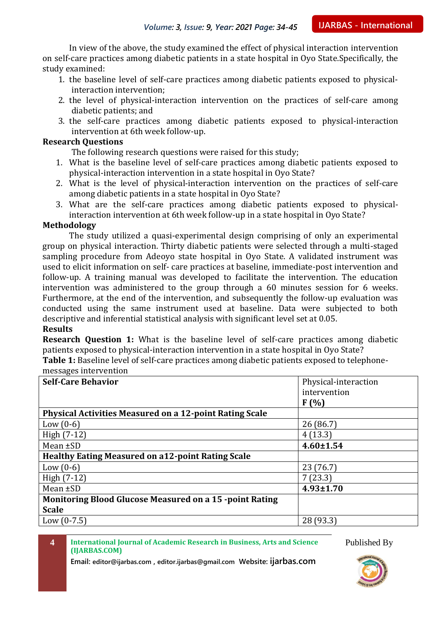In view of the above, the study examined the effect of physical interaction intervention on self-care practices among diabetic patients in a state hospital in Oyo State.Specifically, the study examined:

- 1. the baseline level of self-care practices among diabetic patients exposed to physicalinteraction intervention;
- 2. the level of physical-interaction intervention on the practices of self-care among diabetic patients; and
- 3. the self-care practices among diabetic patients exposed to physical-interaction intervention at 6th week follow-up.

#### **Research Questions**

The following research questions were raised for this study;

- 1. What is the baseline level of self-care practices among diabetic patients exposed to physical-interaction intervention in a state hospital in Oyo State?
- 2. What is the level of physical-interaction intervention on the practices of self-care among diabetic patients in a state hospital in Oyo State?
- 3. What are the self-care practices among diabetic patients exposed to physicalinteraction intervention at 6th week follow-up in a state hospital in Oyo State?

#### **Methodology**

The study utilized a quasi-experimental design comprising of only an experimental group on physical interaction. Thirty diabetic patients were selected through a multi-staged sampling procedure from Adeoyo state hospital in Oyo State. A validated instrument was used to elicit information on self- care practices at baseline, immediate-post intervention and follow-up. A training manual was developed to facilitate the intervention. The education intervention was administered to the group through a 60 minutes session for 6 weeks. Furthermore, at the end of the intervention, and subsequently the follow-up evaluation was conducted using the same instrument used at baseline. Data were subjected to both descriptive and inferential statistical analysis with significant level set at 0.05.

#### **Results**

**Research Question 1:** What is the baseline level of self-care practices among diabetic patients exposed to physical-interaction intervention in a state hospital in Oyo State?

**Table 1:** Baseline level of self-care practices among diabetic patients exposed to telephonemessages intervention

| <b>Self-Care Behavior</b>                                      | Physical-interaction |
|----------------------------------------------------------------|----------------------|
|                                                                | intervention         |
|                                                                | $F(\%)$              |
| <b>Physical Activities Measured on a 12-point Rating Scale</b> |                      |
| Low $(0-6)$                                                    | 26(86.7)             |
| High $(7-12)$                                                  | 4(13.3)              |
| Mean ±SD                                                       | $4.60 \pm 1.54$      |
| <b>Healthy Eating Measured on a12-point Rating Scale</b>       |                      |
| Low $(0-6)$                                                    | 23 (76.7)            |
| High $(7-12)$                                                  | 7(23.3)              |
| Mean $\pm SD$                                                  | $4.93 \pm 1.70$      |
| <b>Monitoring Blood Glucose Measured on a 15 -point Rating</b> |                      |
| <b>Scale</b>                                                   |                      |
| Low $(0-7.5)$                                                  | 28 (93.3)            |

**4 International Journal of Academic Research in Business, Arts and Science (IJARBAS.COM)**

Published By

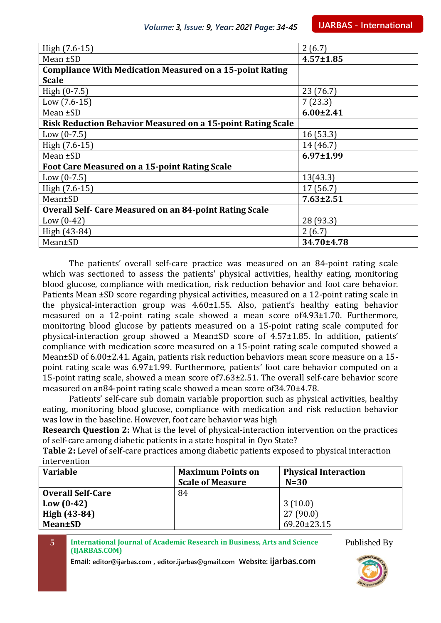| High (7.6-15)                                                      | 2(6.7)          |
|--------------------------------------------------------------------|-----------------|
|                                                                    |                 |
| Mean $\pm SD$                                                      | $4.57 \pm 1.85$ |
| <b>Compliance With Medication Measured on a 15-point Rating</b>    |                 |
| <b>Scale</b>                                                       |                 |
| High $(0-7.5)$                                                     | 23(76.7)        |
| $Low (7.6-15)$                                                     | 7(23.3)         |
| Mean $\pm SD$                                                      | $6.00 \pm 2.41$ |
| <b>Risk Reduction Behavior Measured on a 15-point Rating Scale</b> |                 |
| Low $(0-7.5)$                                                      | 16(53.3)        |
| High (7.6-15)                                                      | 14 (46.7)       |
| Mean $\pm SD$                                                      | $6.97 \pm 1.99$ |
| Foot Care Measured on a 15-point Rating Scale                      |                 |
| Low $(0-7.5)$                                                      | 13(43.3)        |
| High (7.6-15)                                                      | 17 (56.7)       |
| Mean±SD                                                            | $7.63 \pm 2.51$ |
| <b>Overall Self- Care Measured on an 84-point Rating Scale</b>     |                 |
| Low $(0-42)$                                                       | 28 (93.3)       |
| High (43-84)                                                       | 2(6.7)          |
| Mean±SD                                                            | 34.70±4.78      |

The patients' overall self-care practice was measured on an 84-point rating scale which was sectioned to assess the patients' physical activities, healthy eating, monitoring blood glucose, compliance with medication, risk reduction behavior and foot care behavior. Patients Mean ±SD score regarding physical activities, measured on a 12-point rating scale in the physical-interaction group was 4.60±1.55. Also, patient's healthy eating behavior measured on a 12-point rating scale showed a mean score of4.93±1.70. Furthermore, monitoring blood glucose by patients measured on a 15-point rating scale computed for physical-interaction group showed a Mean±SD score of 4.57±1.85. In addition, patients' compliance with medication score measured on a 15-point rating scale computed showed a Mean±SD of 6.00±2.41. Again, patients risk reduction behaviors mean score measure on a 15 point rating scale was 6.97±1.99. Furthermore, patients' foot care behavior computed on a 15-point rating scale, showed a mean score of7.63±2.51. The overall self-care behavior score measured on an84-point rating scale showed a mean score of34.70±4.78.

Patients' self-care sub domain variable proportion such as physical activities, healthy eating, monitoring blood glucose, compliance with medication and risk reduction behavior was low in the baseline. However, foot care behavior was high

**Research Question 2:** What is the level of physical-interaction intervention on the practices of self-care among diabetic patients in a state hospital in Oyo State?

**Table 2:** Level of self-care practices among diabetic patients exposed to physical interaction intervention

| <b>Variable</b>          | <b>Maximum Points on</b> | <b>Physical Interaction</b> |
|--------------------------|--------------------------|-----------------------------|
|                          | <b>Scale of Measure</b>  | $N=30$                      |
| <b>Overall Self-Care</b> | 84                       |                             |
| $Low (0-42)$             |                          | 3(10.0)                     |
| High (43-84)             |                          | 27(90.0)                    |
| Mean±SD                  |                          | $69.20 \pm 23.15$           |
|                          |                          |                             |

**5 International Journal of Academic Research in Business, Arts and Science (IJARBAS.COM)**

**Email: editor@ijarbas.com , editor.ijarbas@gmail.com Website: ijarbas.com**

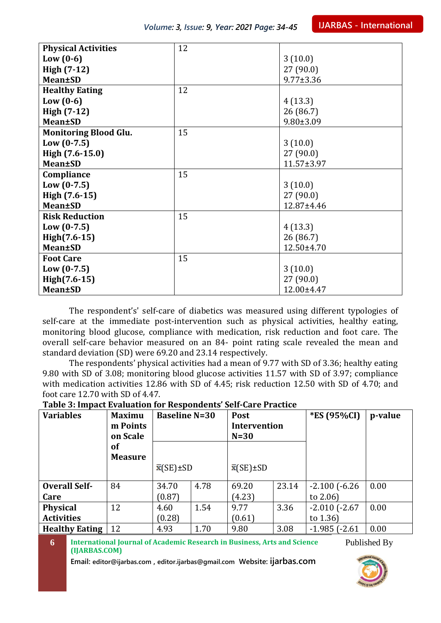| <b>Physical Activities</b>   | 12 |                  |
|------------------------------|----|------------------|
| Low $(0-6)$                  |    | 3(10.0)          |
| High (7-12)                  |    | 27(90.0)         |
| <b>Mean±SD</b>               |    | $9.77 \pm 3.36$  |
| <b>Healthy Eating</b>        | 12 |                  |
| Low $(0-6)$                  |    | 4(13.3)          |
| High $(7-12)$                |    | 26 (86.7)        |
| <b>Mean±SD</b>               |    | $9.80 \pm 3.09$  |
| <b>Monitoring Blood Glu.</b> | 15 |                  |
| $Low (0-7.5)$                |    | 3(10.0)          |
| High (7.6-15.0)              |    | 27(90.0)         |
| <b>Mean±SD</b>               |    | $11.57 \pm 3.97$ |
| Compliance                   | 15 |                  |
| $Low (0-7.5)$                |    | 3(10.0)          |
| High (7.6-15)                |    | 27(90.0)         |
| <b>Mean±SD</b>               |    | 12.87±4.46       |
| <b>Risk Reduction</b>        | 15 |                  |
| $Low (0-7.5)$                |    | 4(13.3)          |
| High(7.6-15)                 |    | 26(86.7)         |
| <b>Mean±SD</b>               |    | 12.50±4.70       |
| <b>Foot Care</b>             | 15 |                  |
| $Low (0-7.5)$                |    | 3(10.0)          |
| $High(7.6-15)$               |    | 27(90.0)         |
| <b>Mean±SD</b>               |    | 12.00±4.47       |

The respondent's' self-care of diabetics was measured using different typologies of self-care at the immediate post-intervention such as physical activities, healthy eating, monitoring blood glucose, compliance with medication, risk reduction and foot care. The overall self-care behavior measured on an 84- point rating scale revealed the mean and standard deviation (SD) were 69.20 and 23.14 respectively.

The respondents' physical activities had a mean of 9.77 with SD of 3.36; healthy eating 9.80 with SD of 3.08; monitoring blood glucose activities 11.57 with SD of 3.97; compliance with medication activities 12.86 with SD of 4.45; risk reduction 12.50 with SD of 4.70; and foot care 12.70 with SD of 4.47.

**Table 3: Impact Evaluation for Respondents' Self-Care Practice**

| Table 5. Impact Evaluation for Respondence Sen-care Fractice |                |                         |      |                     |       |                      |         |
|--------------------------------------------------------------|----------------|-------------------------|------|---------------------|-------|----------------------|---------|
| <b>Variables</b>                                             | <b>Maximu</b>  | <b>Baseline N=30</b>    |      | Post                |       | *ES (95%CI)          | p-value |
|                                                              | m Points       |                         |      | <b>Intervention</b> |       |                      |         |
|                                                              | on Scale       |                         |      | $N=30$              |       |                      |         |
|                                                              | of             |                         |      |                     |       |                      |         |
|                                                              | <b>Measure</b> |                         |      |                     |       |                      |         |
|                                                              |                | $\bar{x}$ (SE) $\pm$ SD |      | $\bar{x}$ (SE)±SD   |       |                      |         |
|                                                              |                |                         |      |                     |       |                      |         |
| <b>Overall Self-</b>                                         | 84             | 34.70                   | 4.78 | 69.20               | 23.14 | $-2.100$ ( $-6.26$ ) | 0.00    |
| Care                                                         |                | (0.87)                  |      | (4.23)              |       | to $2.06$            |         |
| <b>Physical</b>                                              | 12             | 4.60                    | 1.54 | 9.77                | 3.36  | $-2.010$ $(-2.67)$   | 0.00    |
| <b>Activities</b>                                            |                | (0.28)                  |      | (0.61)              |       | to $1.36$            |         |
| <b>Healthy Eating</b>                                        | 12             | 4.93                    | 1.70 | 9.80                | 3.08  | $-1.985$ $(-2.61)$   | 0.00    |

**6 International Journal of Academic Research in Business, Arts and Science (IJARBAS.COM)** Published By

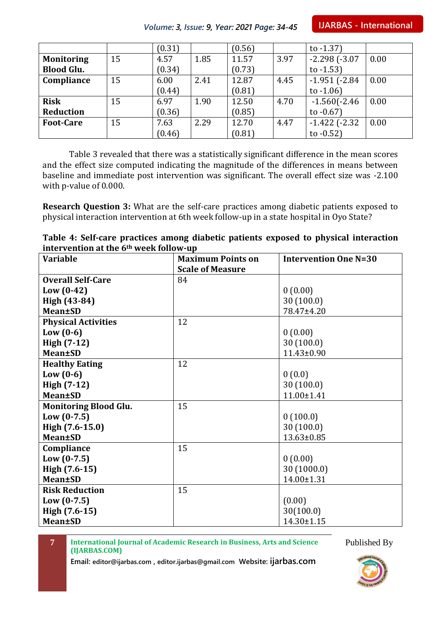**IJARBAS - International**

|                   |    | (0.31) |      | (0.56) |      | to $-1.37$ )         |      |
|-------------------|----|--------|------|--------|------|----------------------|------|
| <b>Monitoring</b> | 15 | 4.57   | 1.85 | 11.57  | 3.97 | $-2.298$ $(-3.07)$   | 0.00 |
| <b>Blood Glu.</b> |    | (0.34) |      | (0.73) |      | to $-1.53$           |      |
| Compliance        | 15 | 6.00   | 2.41 | 12.87  | 4.45 | $-1.951$ ( $-2.84$   | 0.00 |
|                   |    | (0.44) |      | (0.81) |      | to $-1.06$ )         |      |
| <b>Risk</b>       | 15 | 6.97   | 1.90 | 12.50  | 4.70 | $-1.560(-2.46)$      | 0.00 |
| Reduction         |    | (0.36) |      | (0.85) |      | to $-0.67$ )         |      |
| <b>Foot-Care</b>  | 15 | 7.63   | 2.29 | 12.70  | 4.47 | $-1.422$ ( $-2.32$ ) | 0.00 |
|                   |    | (0.46) |      | (0.81) |      | to $-0.52$ )         |      |

*Volume: 3, Issue: 9, Year: 2021 Page: 34-45*

Table 3 revealed that there was a statistically significant difference in the mean scores and the effect size computed indicating the magnitude of the differences in means between baseline and immediate post intervention was significant. The overall effect size was -2.100 with p-value of 0.000.

**Research Question 3:** What are the self-care practices among diabetic patients exposed to physical interaction intervention at 6th week follow-up in a state hospital in Oyo State?

| Table 4: Self-care practices among diabetic patients exposed to physical interaction |  |  |
|--------------------------------------------------------------------------------------|--|--|
| intervention at the 6 <sup>th</sup> week follow-up                                   |  |  |

| <b>Variable</b>              | <b>Maximum Points on</b> | <b>Intervention One N=30</b> |
|------------------------------|--------------------------|------------------------------|
|                              | <b>Scale of Measure</b>  |                              |
| <b>Overall Self-Care</b>     | 84                       |                              |
| $Low (0-42)$                 |                          | 0(0.00)                      |
| High (43-84)                 |                          | 30(100.0)                    |
| <b>Mean±SD</b>               |                          | 78.47±4.20                   |
| <b>Physical Activities</b>   | 12                       |                              |
| Low $(0-6)$                  |                          | 0(0.00)                      |
| High (7-12)                  |                          | 30(100.0)                    |
| <b>Mean±SD</b>               |                          | $11.43 \pm 0.90$             |
| <b>Healthy Eating</b>        | 12                       |                              |
| Low $(0-6)$                  |                          | 0(0.0)                       |
| High (7-12)                  |                          | 30(100.0)                    |
| <b>Mean±SD</b>               |                          | $11.00 \pm 1.41$             |
| <b>Monitoring Blood Glu.</b> | 15                       |                              |
| $Low (0-7.5)$                |                          | 0(100.0)                     |
| High (7.6-15.0)              |                          | 30(100.0)                    |
| <b>Mean</b> ±SD              |                          | $13.63 \pm 0.85$             |
| Compliance                   | 15                       |                              |
| $Low (0-7.5)$                |                          | 0(0.00)                      |
| High (7.6-15)                |                          | 30 (1000.0)                  |
| <b>Mean±SD</b>               |                          | 14.00±1.31                   |
| <b>Risk Reduction</b>        | 15                       |                              |
| $Low (0-7.5)$                |                          | (0.00)                       |
| High (7.6-15)                |                          | 30(100.0)                    |
| <b>Mean</b> ±SD              |                          | $14.30 \pm 1.15$             |

**7 International Journal of Academic Research in Business, Arts and Science (IJARBAS.COM)**

Published By

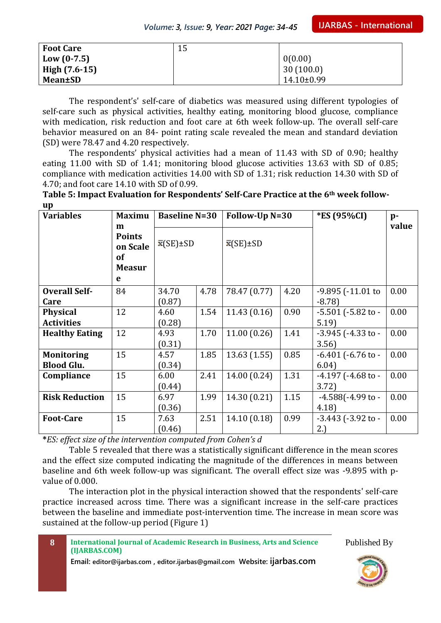| <b>Foot Care</b> | 15 |                |
|------------------|----|----------------|
| Low $(0-7.5)$    |    | 0(0.00)        |
| High $(7.6-15)$  |    | 30(100.0)      |
| Mean±SD          |    | $14.10\pm0.99$ |

The respondent's' self-care of diabetics was measured using different typologies of self-care such as physical activities, healthy eating, monitoring blood glucose, compliance with medication, risk reduction and foot care at 6th week follow-up. The overall self-care behavior measured on an 84- point rating scale revealed the mean and standard deviation (SD) were 78.47 and 4.20 respectively.

The respondents' physical activities had a mean of 11.43 with SD of 0.90; healthy eating 11.00 with SD of 1.41; monitoring blood glucose activities 13.63 with SD of 0.85; compliance with medication activities 14.00 with SD of 1.31; risk reduction 14.30 with SD of 4.70; and foot care 14.10 with SD of 0.99.

**Table 5: Impact Evaluation for Respondents' Self-Care Practice at the 6th week followup**

| <b>Variables</b>                           | <b>Maximu</b>                                                     | <b>Baseline N=30</b> |      |                   | Follow-Up N=30 |                                    | $p-$  |
|--------------------------------------------|-------------------------------------------------------------------|----------------------|------|-------------------|----------------|------------------------------------|-------|
|                                            | m<br><b>Points</b><br>on Scale<br><b>of</b><br><b>Measur</b><br>e | $\bar{x}$ (SE)±SD    |      | $\bar{x}$ (SE)±SD |                |                                    | value |
| <b>Overall Self-</b><br>Care               | 84                                                                | 34.70<br>(0.87)      | 4.78 | 78.47 (0.77)      | 4.20           | -9.895 (-11.01 to<br>$-8.78$       | 0.00  |
| <b>Physical</b>                            | 12                                                                | 4.60                 | 1.54 | 11.43(0.16)       | 0.90           | $-5.501$ ( $-5.82$ to $-$          | 0.00  |
| <b>Activities</b><br><b>Healthy Eating</b> | 12                                                                | (0.28)<br>4.93       | 1.70 | 11.00(0.26)       | 1.41           | 5.19<br>$-3.945$ ( $-4.33$ to $-$  | 0.00  |
|                                            |                                                                   | (0.31)               |      |                   |                | 3.56)                              |       |
| <b>Monitoring</b>                          | 15                                                                | 4.57                 | 1.85 | 13.63(1.55)       | 0.85           | $-6.401$ ( $-6.76$ to $-$          | 0.00  |
| <b>Blood Glu.</b>                          |                                                                   | (0.34)               |      |                   |                | 6.04)                              |       |
| Compliance                                 | 15                                                                | 6.00<br>(0.44)       | 2.41 | 14.00 (0.24)      | 1.31           | $-4.197$ ( $-4.68$ to $-$<br>3.72) | 0.00  |
| <b>Risk Reduction</b>                      | 15                                                                | 6.97<br>(0.36)       | 1.99 | 14.30 (0.21)      | 1.15           | $-4.588(-4.99)$ to -<br>4.18       | 0.00  |
| <b>Foot-Care</b>                           | 15                                                                | 7.63<br>(0.46)       | 2.51 | 14.10 (0.18)      | 0.99           | $-3.443$ ( $-3.92$ to $-$<br>2.)   | 0.00  |

**\****ES: effect size of the intervention computed from Cohen's d*

Table 5 revealed that there was a statistically significant difference in the mean scores and the effect size computed indicating the magnitude of the differences in means between baseline and 6th week follow-up was significant. The overall effect size was -9.895 with pvalue of 0.000.

The interaction plot in the physical interaction showed that the respondents' self-care practice increased across time. There was a significant increase in the self-care practices between the baseline and immediate post-intervention time. The increase in mean score was sustained at the follow-up period (Figure 1)

| - 8 | International Journal of Academic Research in Business, Arts and Science |
|-----|--------------------------------------------------------------------------|
|     | (IJARBAS.COM)                                                            |
|     |                                                                          |

**Email: editor@ijarbas.com , editor.ijarbas@gmail.com Website: ijarbas.com**

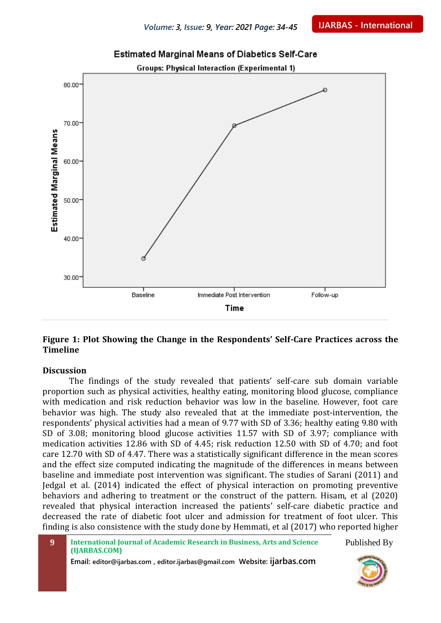

## **Estimated Marginal Means of Diabetics Self-Care**

**Figure 1: Plot Showing the Change in the Respondents' Self-Care Practices across the Timeline**

#### **Discussion**

The findings of the study revealed that patients' self-care sub domain variable proportion such as physical activities, healthy eating, monitoring blood glucose, compliance with medication and risk reduction behavior was low in the baseline. However, foot care behavior was high. The study also revealed that at the immediate post-intervention, the respondents' physical activities had a mean of 9.77 with SD of 3.36; healthy eating 9.80 with SD of 3.08; monitoring blood glucose activities 11.57 with SD of 3.97; compliance with medication activities 12.86 with SD of 4.45; risk reduction 12.50 with SD of 4.70; and foot care 12.70 with SD of 4.47. There was a statistically significant difference in the mean scores and the effect size computed indicating the magnitude of the differences in means between baseline and immediate post intervention was significant. The studies of Sarani (2011) and Jedgal et al. (2014) indicated the effect of physical interaction on promoting preventive behaviors and adhering to treatment or the construct of the pattern. Hisam, et al (2020) revealed that physical interaction increased the patients' self-care diabetic practice and decreased the rate of diabetic foot ulcer and admission for treatment of foot ulcer. This finding is also consistence with the study done by Hemmati, et al (2017) who reported higher

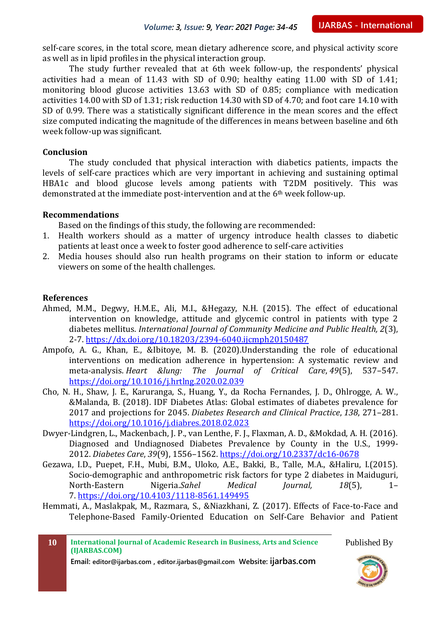self-care scores, in the total score, mean dietary adherence score, and physical activity score as well as in lipid profiles in the physical interaction group.

The study further revealed that at 6th week follow-up, the respondents' physical activities had a mean of 11.43 with SD of 0.90; healthy eating 11.00 with SD of 1.41; monitoring blood glucose activities 13.63 with SD of 0.85; compliance with medication activities 14.00 with SD of 1.31; risk reduction 14.30 with SD of 4.70; and foot care 14.10 with SD of 0.99. There was a statistically significant difference in the mean scores and the effect size computed indicating the magnitude of the differences in means between baseline and 6th week follow-up was significant.

#### **Conclusion**

The study concluded that physical interaction with diabetics patients, impacts the levels of self-care practices which are very important in achieving and sustaining optimal HBA1c and blood glucose levels among patients with T2DM positively. This was demonstrated at the immediate post-intervention and at the 6th week follow-up.

#### **Recommendations**

Based on the findings of this study, the following are recommended:

- 1. Health workers should as a matter of urgency introduce health classes to diabetic patients at least once a week to foster good adherence to self-care activities
- 2. Media houses should also run health programs on their station to inform or educate viewers on some of the health challenges.

#### **References**

- Ahmed, M.M., Degwy, H.M.E., Ali, M.I., &Hegazy, N.H. (2015). The effect of educational intervention on knowledge, attitude and glycemic control in patients with type 2 diabetes mellitus. *International Journal of Community Medicine and Public Health, 2*(3), 2-7.<https://dx.doi.org/10.18203/2394-6040.ijcmph20150487>
- Ampofo, A. G., Khan, E., &Ibitoye, M. B. (2020).Understanding the role of educational interventions on medication adherence in hypertension: A systematic review and meta-analysis. *Heart &lung: The Journal of Critical Care*, *49*(5), 537–547. <https://doi.org/10.1016/j.hrtlng.2020.02.039>
- Cho, N. H., Shaw, J. E., Karuranga, S., Huang, Y., da Rocha Fernandes, J. D., Ohlrogge, A. W., &Malanda, B. (2018). IDF Diabetes Atlas: Global estimates of diabetes prevalence for 2017 and projections for 2045. *Diabetes Research and Clinical Practice*, *138*, 271–281. <https://doi.org/10.1016/j.diabres.2018.02.023>
- Dwyer-Lindgren, L., Mackenbach, J. P., van Lenthe, F. J., Flaxman, A. D., &Mokdad, A. H. (2016). Diagnosed and Undiagnosed Diabetes Prevalence by County in the U.S., 1999- 2012. *Diabetes Care*, *39*(9), 1556–1562.<https://doi.org/10.2337/dc16-0678>
- Gezawa, I.D., Puepet, F.H., Mubi, B.M., Uloko, A.E., Bakki, B., Talle, M.A., &Haliru, I.(2015). Socio-demographic and anthropometric risk factors for type 2 diabetes in Maiduguri, North-Eastern Nigeria.*Sahel Medical Journal, 18*(5), 1– 7. <https://doi.org/10.4103/1118-8561.149495>
- Hemmati, A., Maslakpak, M., Razmara, S., &Niazkhani, Z. (2017). Effects of Face-to-Face and Telephone-Based Family-Oriented Education on Self-Care Behavior and Patient

**10 International Journal of Academic Research in Business, Arts and Science (IJARBAS.COM)**

**Email: editor@ijarbas.com , editor.ijarbas@gmail.com Website: ijarbas.com**

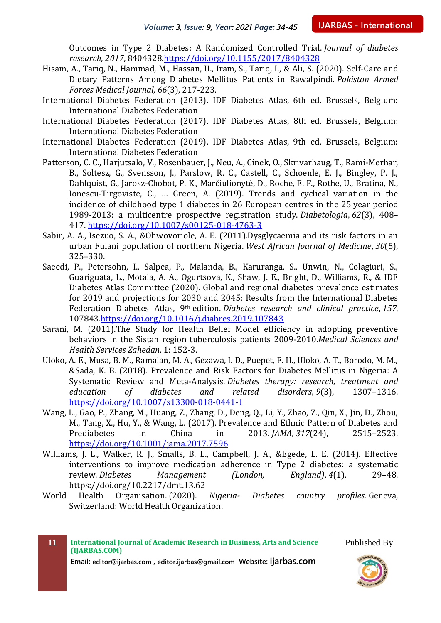Outcomes in Type 2 Diabetes: A Randomized Controlled Trial. *Journal of diabetes research*, *2017*, 8404328[.https://doi.org/10.1155/2017/8404328](https://doi.org/10.1155/2017/8404328)

- Hisam, A., Tariq, N., Hammad, M., Hassan, U., Iram, S., Tariq, I., & Ali, S. (2020). Self-Care and Dietary Patterns Among Diabetes Mellitus Patients in Rawalpindi. *Pakistan Armed Forces Medical Journal*, *66*(3), 217-223.
- International Diabetes Federation (2013). IDF Diabetes Atlas, 6th ed. Brussels, Belgium: International Diabetes Federation
- International Diabetes Federation (2017). IDF Diabetes Atlas, 8th ed. Brussels, Belgium: International Diabetes Federation
- International Diabetes Federation (2019). IDF Diabetes Atlas, 9th ed. Brussels, Belgium: International Diabetes Federation
- Patterson, C. C., Harjutsalo, V., Rosenbauer, J., Neu, A., Cinek, O., Skrivarhaug, T., Rami-Merhar, B., Soltesz, G., Svensson, J., Parslow, R. C., Castell, C., Schoenle, E. J., Bingley, P. J., Dahlquist, G., Jarosz-Chobot, P. K., Marčiulionytė, D., Roche, E. F., Rothe, U., Bratina, N., Ionescu-Tirgoviste, C., … Green, A. (2019). Trends and cyclical variation in the incidence of childhood type 1 diabetes in 26 European centres in the 25 year period 1989-2013: a multicentre prospective registration study. *Diabetologia*, *62*(3), 408– 417.<https://doi.org/10.1007/s00125-018-4763-3>
- Sabir, A. A., Isezuo, S. A., &Ohwovoriole, A. E. (2011).Dysglycaemia and its risk factors in an urban Fulani population of northern Nigeria. *West African Journal of Medicine*, *30*(5), 325–330.
- Saeedi, P., Petersohn, I., Salpea, P., Malanda, B., Karuranga, S., Unwin, N., Colagiuri, S., Guariguata, L., Motala, A. A., Ogurtsova, K., Shaw, J. E., Bright, D., Williams, R., & IDF Diabetes Atlas Committee (2020). Global and regional diabetes prevalence estimates for 2019 and projections for 2030 and 2045: Results from the International Diabetes Federation Diabetes Atlas, 9th edition. *Diabetes research and clinical practice*, *157*, 107843[.https://doi.org/10.1016/j.diabres.2019.107843](https://doi.org/10.1016/j.diabres.2019.107843)
- Sarani, M. (2011).The Study for Health Belief Model efficiency in adopting preventive behaviors in the Sistan region tuberculosis patients 2009-2010.*Medical Sciences and Health Services Zahedan*, 1: 152-3.
- Uloko, A. E., Musa, B. M., Ramalan, M. A., Gezawa, I. D., Puepet, F. H., Uloko, A. T., Borodo, M. M., &Sada, K. B. (2018). Prevalence and Risk Factors for Diabetes Mellitus in Nigeria: A Systematic Review and Meta-Analysis. *Diabetes therapy: research, treatment and education of diabetes and related disorders*, *9*(3), 1307–1316. <https://doi.org/10.1007/s13300-018-0441-1>
- Wang, L., Gao, P., Zhang, M., Huang, Z., Zhang, D., Deng, Q., Li, Y., Zhao, Z., Qin, X., Jin, D., Zhou, M., Tang, X., Hu, Y., & Wang, L. (2017). Prevalence and Ethnic Pattern of Diabetes and Prediabetes in China in 2013. *JAMA*, *317*(24), 2515–2523. <https://doi.org/10.1001/jama.2017.7596>
- Williams, J. L., Walker, R. J., Smalls, B. L., Campbell, J. A., &Egede, L. E. (2014). Effective interventions to improve medication adherence in Type 2 diabetes: a systematic review. *Diabetes Management (London, England)*, *4*(1), 29–48. https://doi.org/10.2217/dmt.13.62
- World Health Organisation. (2020). *Nigeria- Diabetes country profiles*. Geneva, Switzerland: World Health Organization.

**11 International Journal of Academic Research in Business, Arts and Science (IJARBAS.COM) Email: editor@ijarbas.com , editor.ijarbas@gmail.com Website: ijarbas.com** Published By